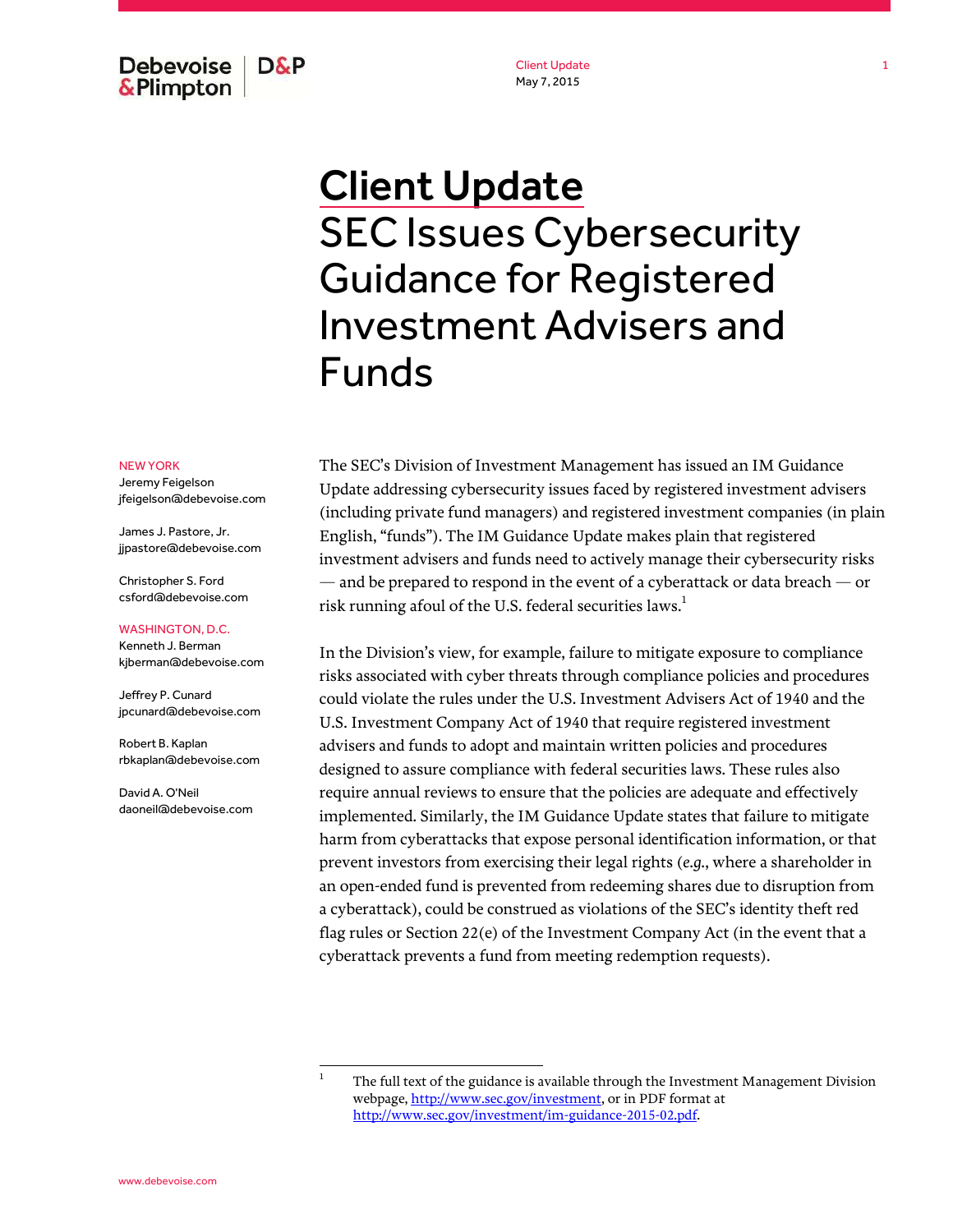**Debevoise** D&P & Plimpton

Client Update May 7, 2015

# Client Update SEC Issues Cybersecurity Guidance for Registered Investment Advisers and Funds

#### NEW YORK

Jeremy Feigelson jfeigelson@debevoise.com

James J. Pastore, Jr. jjpastore@debevoise.com

Christopher S. Ford csford@debevoise.com

### WASHINGTON, D.C.

Kenneth J. Berman kjberman@debevoise.com

Jeffrey P. Cunard jpcunard@debevoise.com

Robert B. Kaplan rbkaplan@debevoise.com

David A. O'Neil daoneil@debevoise.com The SEC's Division of Investment Management has issued an IM Guidance Update addressing cybersecurity issues faced by registered investment advisers (including private fund managers) and registered investment companies (in plain English, "funds"). The IM Guidance Update makes plain that registered investment advisers and funds need to actively manage their cybersecurity risks  $-$  and be prepared to respond in the event of a cyberattack or data breach  $-$  or risk running afoul of the U.S. federal securities laws.<sup>1</sup>

In the Division's view, for example, failure to mitigate exposure to compliance risks associated with cyber threats through compliance policies and procedures could violate the rules under the U.S. Investment Advisers Act of 1940 and the U.S. Investment Company Act of 1940 that require registered investment advisers and funds to adopt and maintain written policies and procedures designed to assure compliance with federal securities laws. These rules also require annual reviews to ensure that the policies are adequate and effectively implemented. Similarly, the IM Guidance Update states that failure to mitigate harm from cyberattacks that expose personal identification information, or that prevent investors from exercising their legal rights (*e.g.*, where a shareholder in an open-ended fund is prevented from redeeming shares due to disruption from a cyberattack), could be construed as violations of the SEC's identity theft red flag rules or Section 22(e) of the Investment Company Act (in the event that a cyberattack prevents a fund from meeting redemption requests).

<sup>1</sup> The full text of the guidance is available through the Investment Management Division webpage, http://www.sec.gov/investment, or in PDF format at http://www.sec.gov/investment/im-guidance-2015-02.pdf.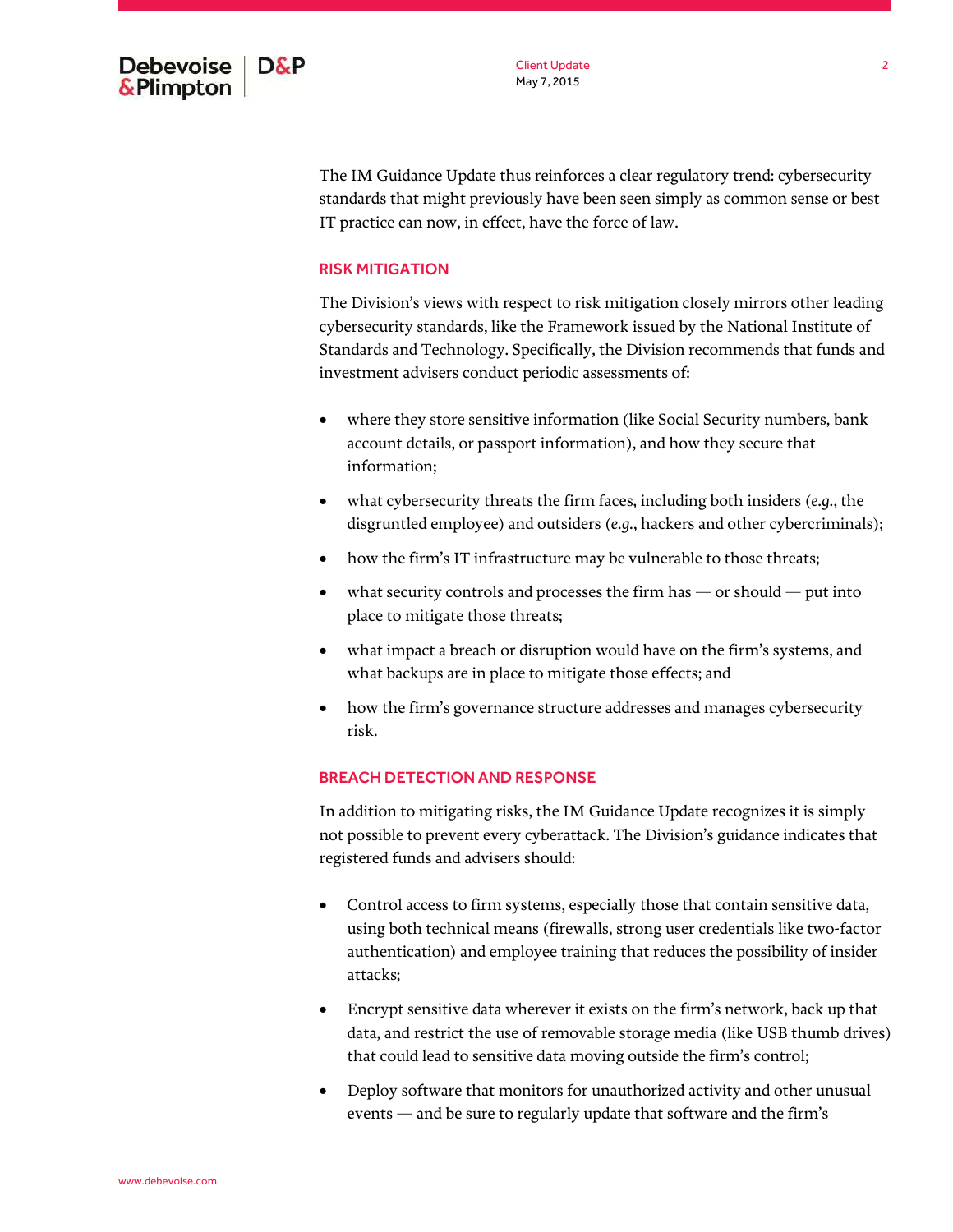

The IM Guidance Update thus reinforces a clear regulatory trend: cybersecurity standards that might previously have been seen simply as common sense or best IT practice can now, in effect, have the force of law.

## RISK MITIGATION

The Division's views with respect to risk mitigation closely mirrors other leading cybersecurity standards, like the Framework issued by the National Institute of Standards and Technology. Specifically, the Division recommends that funds and investment advisers conduct periodic assessments of:

- where they store sensitive information (like Social Security numbers, bank account details, or passport information), and how they secure that information;
- what cybersecurity threats the firm faces, including both insiders (*e.g.*, the disgruntled employee) and outsiders (*e.g.*, hackers and other cybercriminals);
- how the firm's IT infrastructure may be vulnerable to those threats;
- $\bullet$  what security controls and processes the firm has  $-$  or should  $-$  put into place to mitigate those threats;
- what impact a breach or disruption would have on the firm's systems, and what backups are in place to mitigate those effects; and
- how the firm's governance structure addresses and manages cybersecurity risk.

## BREACH DETECTION AND RESPONSE

In addition to mitigating risks, the IM Guidance Update recognizes it is simply not possible to prevent every cyberattack. The Division's guidance indicates that registered funds and advisers should:

- Control access to firm systems, especially those that contain sensitive data, using both technical means (firewalls, strong user credentials like two-factor authentication) and employee training that reduces the possibility of insider attacks;
- Encrypt sensitive data wherever it exists on the firm's network, back up that data, and restrict the use of removable storage media (like USB thumb drives) that could lead to sensitive data moving outside the firm's control;
- Deploy software that monitors for unauthorized activity and other unusual events — and be sure to regularly update that software and the firm's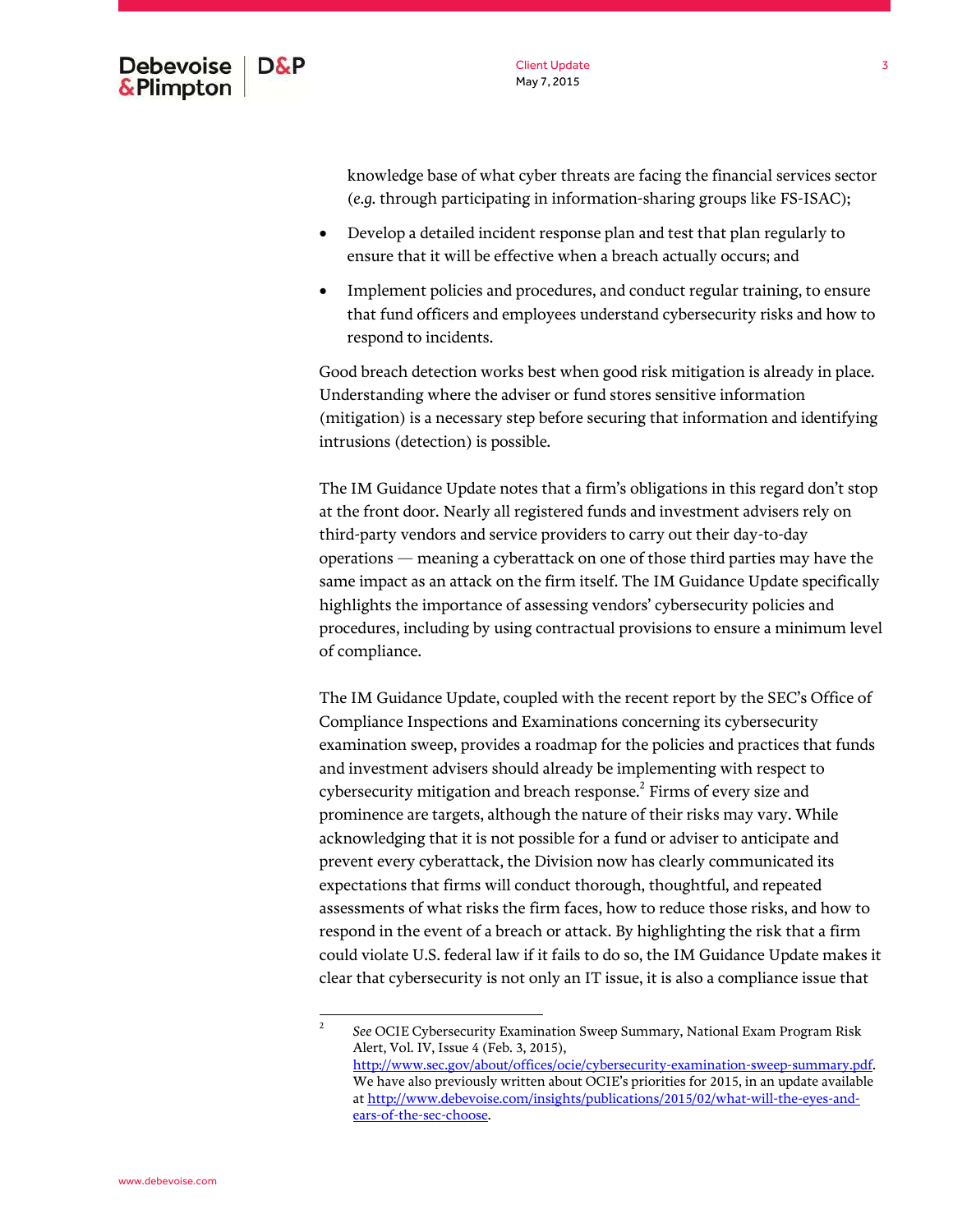

Client Update May 7, 2015

knowledge base of what cyber threats are facing the financial services sector (*e.g.* through participating in information-sharing groups like FS-ISAC);

- Develop a detailed incident response plan and test that plan regularly to ensure that it will be effective when a breach actually occurs; and
- Implement policies and procedures, and conduct regular training, to ensure that fund officers and employees understand cybersecurity risks and how to respond to incidents.

Good breach detection works best when good risk mitigation is already in place. Understanding where the adviser or fund stores sensitive information (mitigation) is a necessary step before securing that information and identifying intrusions (detection) is possible.

The IM Guidance Update notes that a firm's obligations in this regard don't stop at the front door. Nearly all registered funds and investment advisers rely on third-party vendors and service providers to carry out their day-to-day operations — meaning a cyberattack on one of those third parties may have the same impact as an attack on the firm itself. The IM Guidance Update specifically highlights the importance of assessing vendors' cybersecurity policies and procedures, including by using contractual provisions to ensure a minimum level of compliance.

The IM Guidance Update, coupled with the recent report by the SEC's Office of Compliance Inspections and Examinations concerning its cybersecurity examination sweep, provides a roadmap for the policies and practices that funds and investment advisers should already be implementing with respect to cybersecurity mitigation and breach response. $^2$  Firms of every size and prominence are targets, although the nature of their risks may vary. While acknowledging that it is not possible for a fund or adviser to anticipate and prevent every cyberattack, the Division now has clearly communicated its expectations that firms will conduct thorough, thoughtful, and repeated assessments of what risks the firm faces, how to reduce those risks, and how to respond in the event of a breach or attack. By highlighting the risk that a firm could violate U.S. federal law if it fails to do so, the IM Guidance Update makes it clear that cybersecurity is not only an IT issue, it is also a compliance issue that

2

*See* OCIE Cybersecurity Examination Sweep Summary, National Exam Program Risk Alert, Vol. IV, Issue 4 (Feb. 3, 2015), http://www.sec.gov/about/offices/ocie/cybersecurity-examination-sweep-summary.pdf. We have also previously written about OCIE's priorities for 2015, in an update available at [http://www.debevoise.com/insights/publications/2015/02/what-will-the-eyes-and](http://www.debevoise.com/insights/publications/2015/02/what-will-the-eyes-and-ears-of-the-sec-choose)ears-of-the-sec-choose.